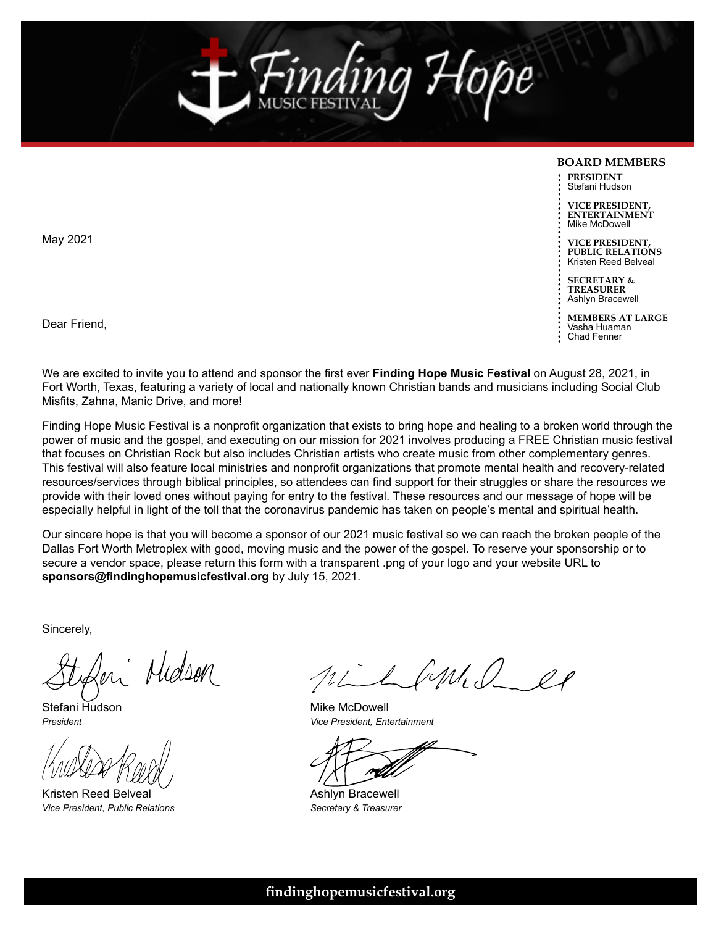

#### **BOARD MEMBERS**

**PRESIDENT** Stefani Hudson

**VICE PRESIDENT, ENTERTAINMENT** Mike McDowell

**VICE PRESIDENT, PUBLIC RELATIONS** Kristen Reed Belveal

**SECRETARY & TREASURER** Ashlyn Bracewell

**MEMBERS AT LARGE** Vasha Huaman Chad Fenner

Dear Friend,

May 2021

We are excited to invite you to attend and sponsor the first ever **Finding Hope Music Festival** on August 28, 2021, in Fort Worth, Texas, featuring a variety of local and nationally known Christian bands and musicians including Social Club Misfits, Zahna, Manic Drive, and more!

Finding Hope Music Festival is a nonprofit organization that exists to bring hope and healing to a broken world through the power of music and the gospel, and executing on our mission for 2021 involves producing a FREE Christian music festival that focuses on Christian Rock but also includes Christian artists who create music from other complementary genres. This festival will also feature local ministries and nonprofit organizations that promote mental health and recovery-related resources/services through biblical principles, so attendees can find support for their struggles or share the resources we provide with their loved ones without paying for entry to the festival. These resources and our message of hope will be especially helpful in light of the toll that the coronavirus pandemic has taken on people's mental and spiritual health.

Our sincere hope is that you will become a sponsor of our 2021 music festival so we can reach the broken people of the Dallas Fort Worth Metroplex with good, moving music and the power of the gospel. To reserve your sponsorship or to secure a vendor space, please return this form with a transparent .png of your logo and your website URL to **sponsors@findinghopemusicfestival.org** by July 15, 2021.

Sincerely,

en Midson

Stefani Hudson *President*

Kristen Reed Belveal *Vice President, Public Relations*

nilland es

Mike McDowell *Vice President, Entertainment*

Ashlyn Bracewell *Secretary & Treasurer*